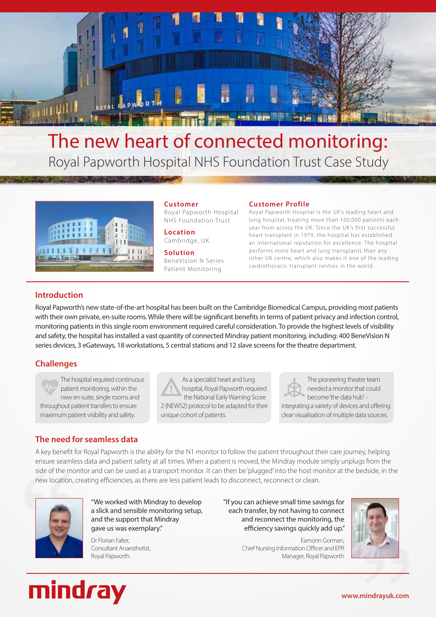

# The new heart of connected monitoring: Royal Papworth Hospital NHS Foundation Trust Case Study



**Customer** Royal Papworth Hospital NHS Foundation Trust

**Location** Cambridge, UK

**Solution** BeneVision N Series Patient Monitoring

#### **Customer Profile**

Royal Papworth Hospital is the UK's leading heart and lung hospital, treating more than 100,000 patients each year from across the UK. Since the UK's first successful heart transplant in 1979, the hospital has established an international reputation for excellence. The hospital performs more heart and lung transplants than any other UK centre, which also makes it one of the leading cardiothoracic transplant centres in the world.

# **Introduction**

Royal Papworth's new state-of-the-art hospital has been built on the Cambridge Biomedical Campus, providing most patients with their own private, en-suite rooms. While there will be significant benefits in terms of patient privacy and infection control, monitoring patients in this single room environment required careful consideration. To provide the highest levels of visibility and safety, the hospital has installed a vast quantity of connected Mindray patient monitoring, including: 400 BeneVision N series devices, 3 eGateways, 18 workstations, 5 central stations and 12 slave screens for the theatre department.

# **Challenges**

The hospital required continuous patient monitoring, within the new en-suite, single rooms and throughout patient transfers to ensure maximum patient visibility and safety.

As a specialist heart and lung hospital, Royal Papworth required the National Early Warning Score 2 (NEWS2) protocol to be adapted for their unique cohort of patients.

The pioneering theatre team needed a monitor that could become 'the data hub' integrating a variety of devices and offering clear visualisation of multiple data sources.

# **The need for seamless data**

A key benefit for Royal Papworth is the ability for the N1 monitor to follow the patient throughout their care journey, helping ensure seamless data and patient safety at all times. When a patient is moved, the Mindray module simply unplugs from the side of the monitor and can be used as a transport monitor. It can then be 'plugged' into the host monitor at the bedside, in the new location, creating efficiencies, as there are less patient leads to disconnect, reconnect or clean.



"We worked with Mindray to develop a slick and sensible monitoring setup, and the support that Mindray gave us was exemplary."

Dr Florian Falter, Consultant Anaesthetist, Royal Papworth

"If you can achieve small time savings for each transfer, by not having to connect and reconnect the monitoring, the efficiency savings quickly add up."

> Eamonn Gorman, Chief Nursing Information Officer and EPR Manager, Royal Papworth





**www.mindrayuk.com**